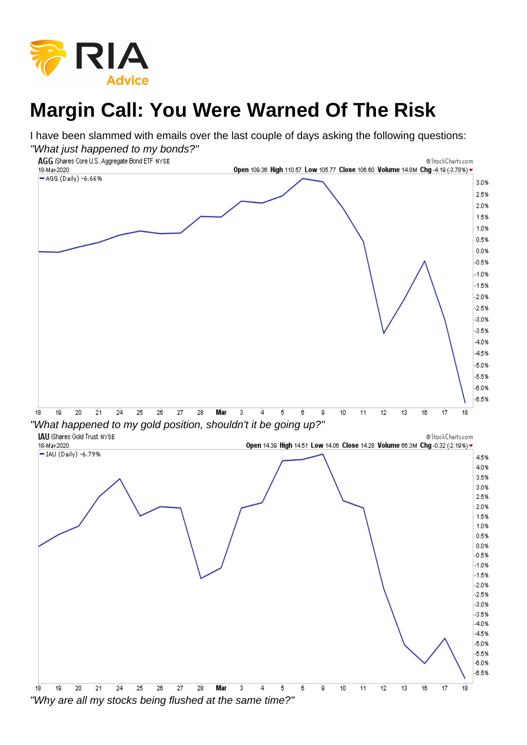## Margin Call: You Were Warned Of The Risk

I have been slammed with emails over the last couple of days asking the following questions: "What just happened to my bonds?"

"What happened to my gold position, shouldn't it be going up?"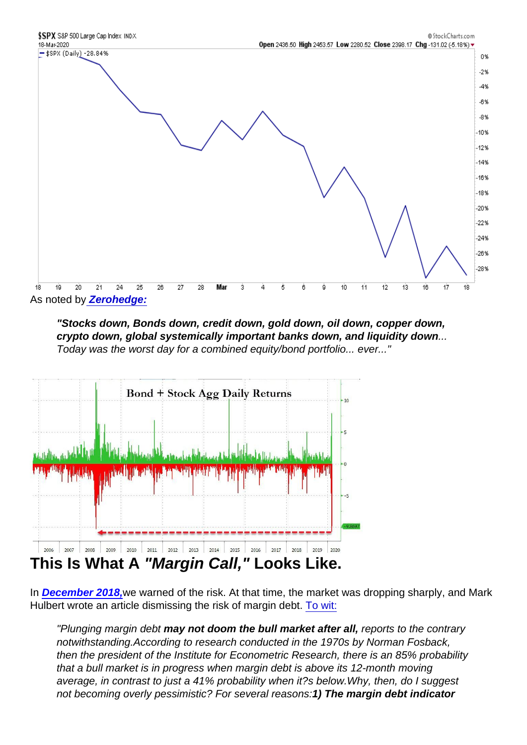As noted b[y Zerohedge:](https://www.zerohedge.com/markets/escalating-dollar-crisis-sparks-global-turmoil-were-about-halfway-there)

"Stocks down, Bonds down, credit down, gold down, oil down, copper down, crypto down, global systemically important banks down, and liquidity down Today was the worst day for a combined equity/bond portfolio... ever..."

## This Is What A "Margin Call," Looks Like.

In [December 2018,](https://realinvestmentadvice.com/misdiagnosing-the-risk-of-margin-debt/) we warned of the risk. At that time, the market was dropping sharply, and Mark Hulbert wrote an article dismissing the risk of margin debt. [To wit:](https://www.marketwatch.com/story/this-bear-market-signal-is-throwing-stock-investors-off-the-scent-2018-11-27)

"Plunging margin debt may not doom the bull market after all, reports to the contrary notwithstanding.According to research conducted in the 1970s by Norman Fosback, then the president of the Institute for Econometric Research, there is an 85% probability that a bull market is in progress when margin debt is above its 12-month moving average, in contrast to just a 41% probability when it?s below.Why, then, do I suggest not becoming overly pessimistic? For several reasons:1) The margin debt indicator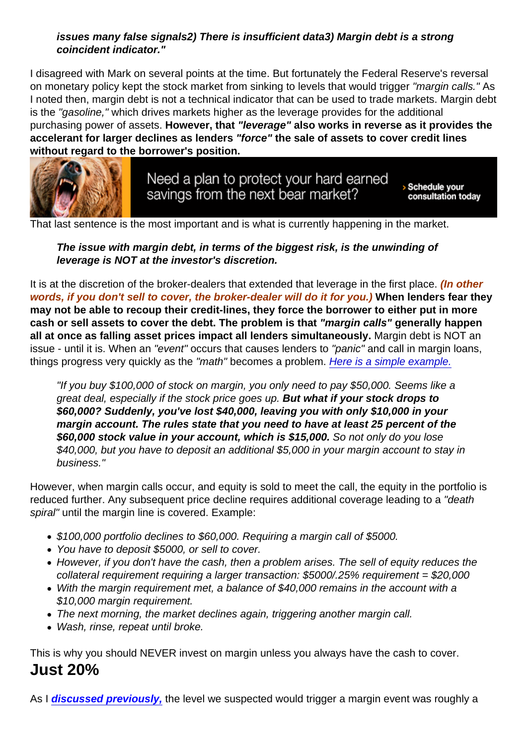issues many false signals 2) There is insufficient data 3) Margin debt is a strong coincident indicator."

I disagreed with Mark on several points at the time. But fortunately the Federal Reserve's reversal on monetary policy kept the stock market from sinking to levels that would trigger "margin calls." As I noted then, margin debt is not a technical indicator that can be used to trade markets. Margin debt is the "gasoline," which drives markets higher as the leverage provides for the additional purchasing power of assets. However, that "leverage" also works in reverse as it provides the accelerant for larger declines as lenders "force" the sale of assets to cover credit lines without regard to the borrower's position.

That last sentence is the most important and is what is currently happening in the market.

The issue with margin debt, in terms of the biggest risk, is the unwinding of leverage is NOT at the investor's discretion.

It is at the discretion of the broker-dealers that extended that leverage in the first place. (In other words, if you don't sell to cover, the broker-dealer will do it for you.) When lenders fear they may not be able to recoup their credit-lines, they force the borrower to either put in more cash or sell assets to cover the debt. The problem is that "margin calls" generally happen all at once as falling asset prices impact all lenders simultaneously. Margin debt is NOT an issue - until it is. When an "event" occurs that causes lenders to "panic" and call in margin loans, things progress very quickly as the "math" becomes a problem. [Here is a simple example.](https://money.howstuffworks.com/margin-call.htm)

"If you buy \$100,000 of stock on margin, you only need to pay \$50,000. Seems like a great deal, especially if the stock price goes up. But what if your stock drops to \$60,000? Suddenly, you've lost \$40,000, leaving you with only \$10,000 in your margin account. The rules state that you need to have at least 25 percent of the \$60,000 stock value in your account, which is \$15,000. So not only do you lose \$40,000, but you have to deposit an additional \$5,000 in your margin account to stay in business."

However, when margin calls occur, and equity is sold to meet the call, the equity in the portfolio is reduced further. Any subsequent price decline requires additional coverage leading to a "death spiral" until the margin line is covered. Example:

- \$100,000 portfolio declines to \$60,000. Requiring a margin call of \$5000.
- You have to deposit \$5000, or sell to cover.
- However, if you don't have the cash, then a problem arises. The sell of equity reduces the collateral requirement requiring a larger transaction: \$5000/.25% requirement = \$20,000
- With the margin requirement met, a balance of \$40,000 remains in the account with a \$10,000 margin requirement.
- The next morning, the market declines again, triggering another margin call.
- Wash, rinse, repeat until broke.

This is why you should NEVER invest on margin unless you always have the cash to cover. Just 20%

As I [discussed previously,](https://realinvestmentadvice.com/bear-market-growls-as-market-remains-weak-11-16-18/) the level we suspected would trigger a margin event was roughly a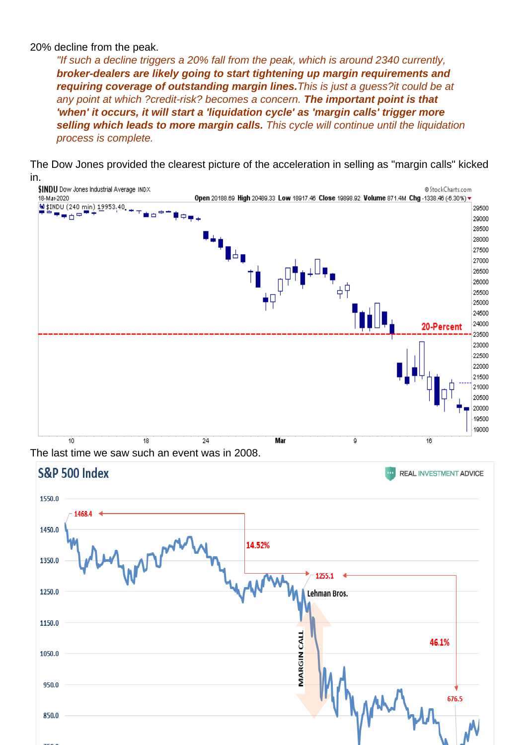20% decline from the peak.

"If such a decline triggers a 20% fall from the peak, which is around 2340 currently, broker-dealers are likely going to start tightening up margin requirements and requiring coverage of outstanding margin lines. This is just a guess?it could be at any point at which ?credit-risk? becomes a concern. The important point is that 'when' it occurs, it will start a 'liquidation cycle' as 'margin calls' trigger more selling which leads to more margin calls. This cycle will continue until the liquidation process is complete.

The Dow Jones provided the clearest picture of the acceleration in selling as "margin calls" kicked in.

The last time we saw such an event was in 2008.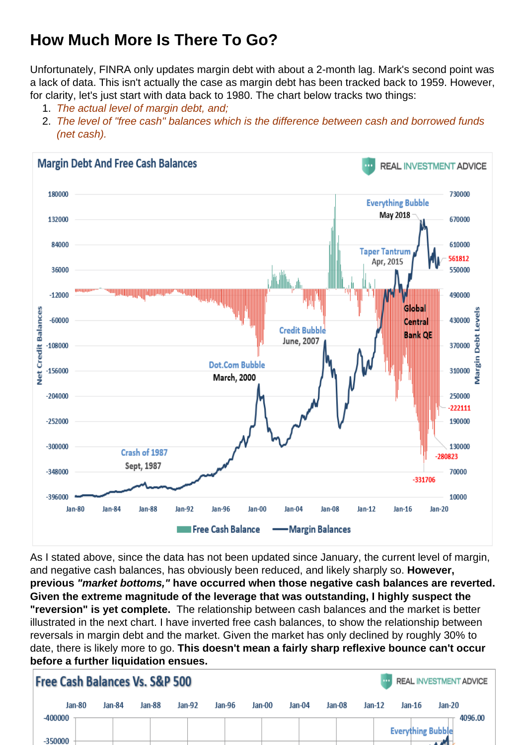## How Much More Is There To Go?

Unfortunately, FINRA only updates margin debt with about a 2-month lag. Mark's second point was a lack of data. This isn't actually the case as margin debt has been tracked back to 1959. However, for clarity, let's just start with data back to 1980. The chart below tracks two things:

- 1. The actual level of margin debt, and;
- 2. The level of "free cash" balances which is the difference between cash and borrowed funds (net cash).

As I stated above, since the data has not been updated since January, the current level of margin, and negative cash balances, has obviously been reduced, and likely sharply so. However, previous "market bottoms," have occurred when those negative cash balances are reverted. Given the extreme magnitude of the leverage that was outstanding, I highly suspect the "reversion" is yet complete. The relationship between cash balances and the market is better illustrated in the next chart. I have inverted free cash balances, to show the relationship between reversals in margin debt and the market. Given the market has only declined by roughly 30% to date, there is likely more to go. This doesn't mean a fairly sharp reflexive bounce can't occur before a further liquidation ensues.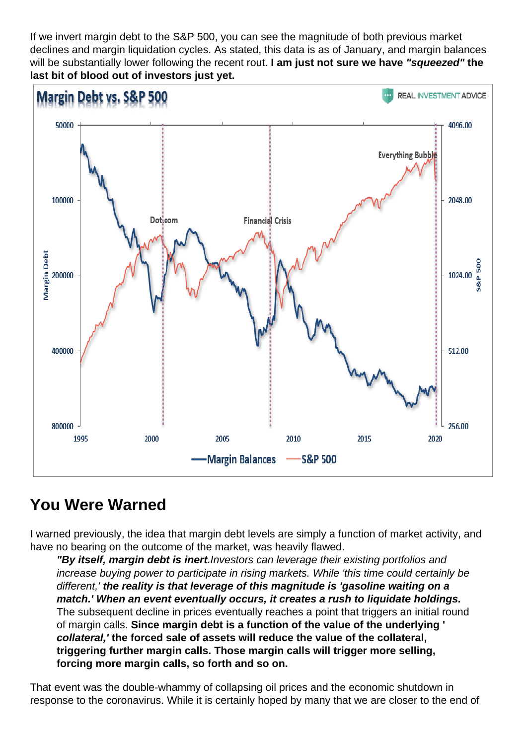If we invert margin debt to the S&P 500, you can see the magnitude of both previous market declines and margin liquidation cycles. As stated, this data is as of January, and margin balances will be substantially lower following the recent rout. I am just not sure we have "squeezed" the last bit of blood out of investors just yet.

## You Were Warned

I warned previously, the idea that margin debt levels are simply a function of market activity, and have no bearing on the outcome of the market, was heavily flawed.

"By itself, margin debt is inert. Investors can leverage their existing portfolios and increase buying power to participate in rising markets. While 'this time could certainly be different,' the reality is that leverage of this magnitude is 'gasoline waiting on a match.' When an event eventually occurs, it creates a rush to liquidate holdings. The subsequent decline in prices eventually reaches a point that triggers an initial round of margin calls. Since margin debt is a function of the value of the underlying ' collateral,' the forced sale of assets will reduce the value of the collateral, triggering further margin calls. Those margin calls will trigger more selling, forcing more margin calls, so forth and so on.

That event was the double-whammy of collapsing oil prices and the economic shutdown in response to the coronavirus. While it is certainly hoped by many that we are closer to the end of